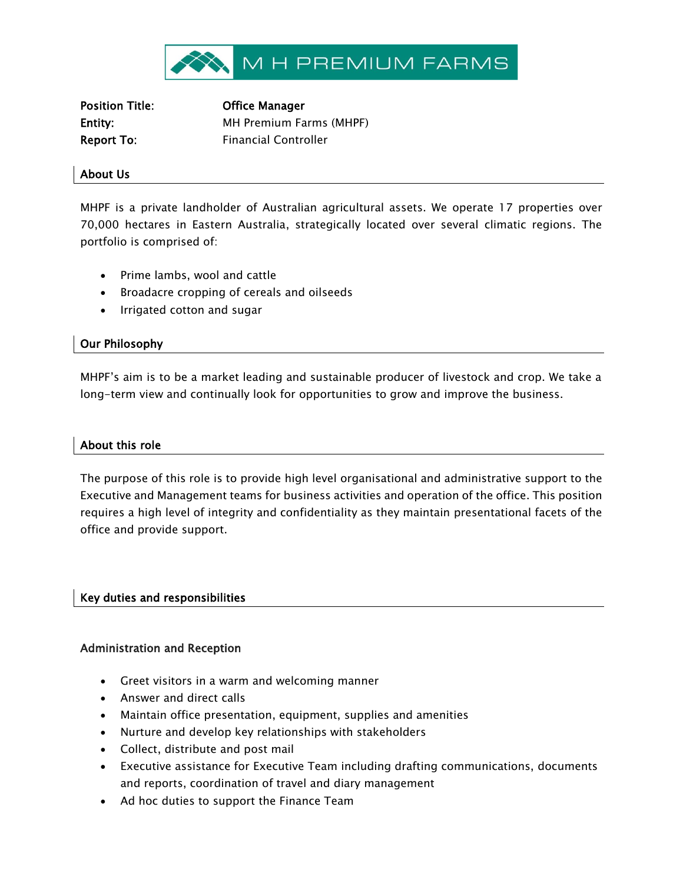

Position Title: Office Manager

Entity: MH Premium Farms (MHPF) Report To: Financial Controller

#### About Us

MHPF is a private landholder of Australian agricultural assets. We operate 17 properties over 70,000 hectares in Eastern Australia, strategically located over several climatic regions. The portfolio is comprised of:

- Prime lambs, wool and cattle
- Broadacre cropping of cereals and oilseeds
- Irrigated cotton and sugar

# Our Philosophy

MHPF's aim is to be a market leading and sustainable producer of livestock and crop. We take a long-term view and continually look for opportunities to grow and improve the business.

### About this role

The purpose of this role is to provide high level organisational and administrative support to the Executive and Management teams for business activities and operation of the office. This position requires a high level of integrity and confidentiality as they maintain presentational facets of the office and provide support.

### Key duties and responsibilities

### Administration and Reception

- Greet visitors in a warm and welcoming manner
- Answer and direct calls
- Maintain office presentation, equipment, supplies and amenities
- Nurture and develop key relationships with stakeholders
- Collect, distribute and post mail
- Executive assistance for Executive Team including drafting communications, documents and reports, coordination of travel and diary management
- Ad hoc duties to support the Finance Team